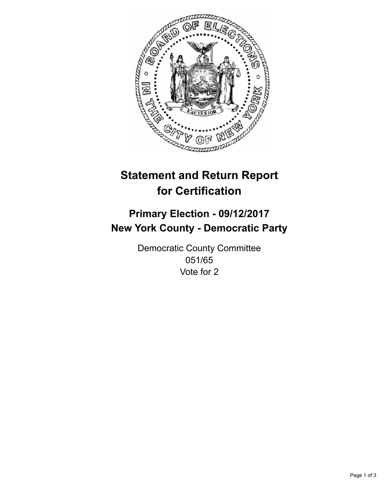

## **Statement and Return Report for Certification**

## **Primary Election - 09/12/2017 New York County - Democratic Party**

Democratic County Committee 051/65 Vote for 2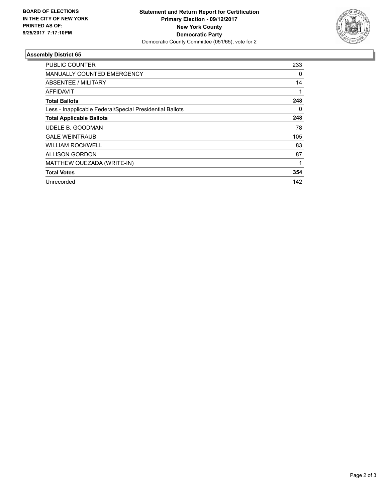

## **Assembly District 65**

| <b>PUBLIC COUNTER</b>                                    | 233 |
|----------------------------------------------------------|-----|
| <b>MANUALLY COUNTED EMERGENCY</b>                        | 0   |
| ABSENTEE / MILITARY                                      | 14  |
| <b>AFFIDAVIT</b>                                         | 1   |
| <b>Total Ballots</b>                                     | 248 |
| Less - Inapplicable Federal/Special Presidential Ballots | 0   |
| <b>Total Applicable Ballots</b>                          | 248 |
| UDELE B. GOODMAN                                         | 78  |
| <b>GALE WEINTRAUB</b>                                    | 105 |
| <b>WILLIAM ROCKWELL</b>                                  | 83  |
| <b>ALLISON GORDON</b>                                    | 87  |
| MATTHEW QUEZADA (WRITE-IN)                               |     |
| <b>Total Votes</b>                                       | 354 |
| Unrecorded                                               | 142 |